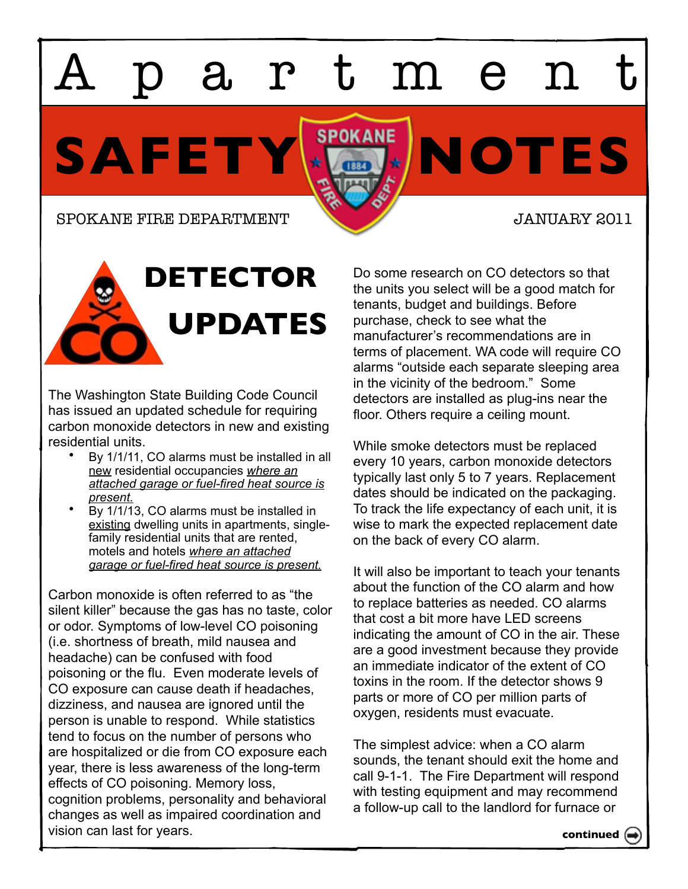artmen

SAFETY<sup>SPOKANE</sup> NOTES

SPOKANE FIRE DEPARTMENT **SPOKANE FIRE DEPARTMENT** 





The Washington State Building Code Council has issued an updated schedule for requiring carbon monoxide detectors in new and existing residential units.

- By 1/1/11, CO alarms must be installed in all new residential occupancies *where an attached garage or fuel-fired heat source is present.*
- By 1/1/13, CO alarms must be installed in existing dwelling units in apartments, singlefamily residential units that are rented, motels and hotels *where an attached garage or fuel-fired heat source is present.*

Carbon monoxide is often referred to as "the silent killer" because the gas has no taste, color or odor. Symptoms of low-level CO poisoning (i.e. shortness of breath, mild nausea and headache) can be confused with food poisoning or the flu. Even moderate levels of CO exposure can cause death if headaches, dizziness, and nausea are ignored until the person is unable to respond. While statistics tend to focus on the number of persons who are hospitalized or die from CO exposure each year, there is less awareness of the long-term effects of CO poisoning. Memory loss, cognition problems, personality and behavioral changes as well as impaired coordination and vision can last for years.

Do some research on CO detectors so that the units you select will be a good match for tenants, budget and buildings. Before purchase, check to see what the manufacturer's recommendations are in terms of placement. WA code will require CO alarms "outside each separate sleeping area in the vicinity of the bedroom." Some detectors are installed as plug-ins near the floor. Others require a ceiling mount.

While smoke detectors must be replaced every 10 years, carbon monoxide detectors typically last only 5 to 7 years. Replacement dates should be indicated on the packaging. To track the life expectancy of each unit, it is wise to mark the expected replacement date on the back of every CO alarm.

It will also be important to teach your tenants about the function of the CO alarm and how to replace batteries as needed. CO alarms that cost a bit more have LED screens indicating the amount of CO in the air. These are a good investment because they provide an immediate indicator of the extent of CO toxins in the room. If the detector shows 9 parts or more of CO per million parts of oxygen, residents must evacuate.

The simplest advice: when a CO alarm sounds, the tenant should exit the home and call 9-1-1. The Fire Department will respond with testing equipment and may recommend a follow-up call to the landlord for furnace or